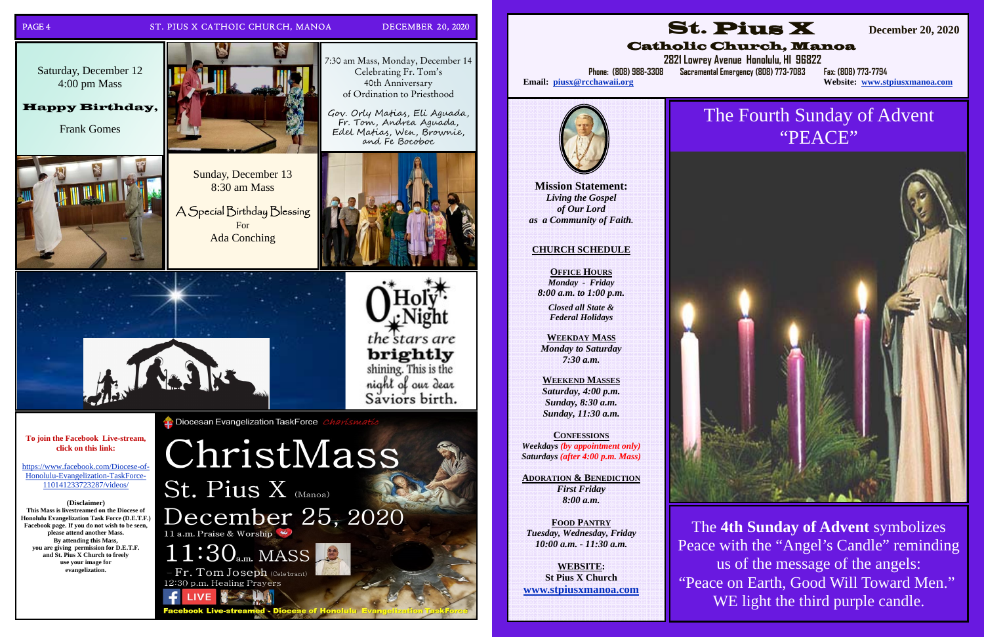

### PAGE 4 ST. PIUS X CATHOIC CHURCH, MANOA DECEMBER 20, 2020

7:30 am Mass, Monday, December 14 Celebrating Fr. Tom's 40th Anniversary of Ordination to Priesthood

Gov. Orly Matias, Eli Aguada, F r. Tom, And<sup>r</sup> ea Aguada, E del Matias, W <sup>e</sup>n, B <sup>r</sup>ownie, <sup>a</sup>nd Fe Bocoboc





**To join the Facebook Live-stream, click on this link:** 

https://www.facebook.com/Diocese-of-Honolulu-Evangelization-TaskForce-110141233723287/videos/

**(Disclaimer)** 

**This Mass is livestreamed on the Diocese of Honolulu Evangelization Task Force (D.E.T.F.) Facebook page. If you do not wish to be seen, please attend another Mass. By attending this Mass, you are giving permission for D.E.T.F. and St. Pius X Church to freely use your image for evangelization.**

**C** Diocesan Evangelization TaskForce

ChristMass St. Pius X (Manoa) December 25, 2020 11 a.m. Praise & Worship



acebook Live-stre

Sunday, December 13 8:30 am Mass

A Special Birthday Blessing For Ada Conching



Saturday, December 12 4:00 pm Mass

> The **4th Sunday of Advent** symbolizes Peace with the "Angel's Candle" reminding us of the message of the angels: "Peace on Earth, Good Will Toward Men." WE light the third purple candle.

Happy Birthday,

Frank Gomes







## Catholic Church, Manoa

 **2821 Lowrey Avenue Honolulu, HI 96822 Phone: (808) 988-3308 Sacramental Emergency (808) 773-7083 Fax: (808) 773-7794** 

**Website: www.stpiusxmanoa.com** 

**Mission Statement:** 

*Living the Gospel of Our Lord as a Community of Faith.* 

Email: piusx@rcchawaii.org

### **CHURCH SCHEDULE**

**OFFICE HOURS***Monday - Friday 8:00 a.m. to 1:00 p.m.* 

*Closed all State & Federal Holidays* 

**WEEKDAY MASS** *Monday to Saturday 7:30 a.m.* 

**WEEKEND MASSES** *Saturday, 4:00 p.m. Sunday, 8:30 a.m. Sunday, 11:30 a.m.* 

**CONFESSIONS***Weekdays (by appointment only) Saturdays (after 4:00 p.m. Mass)* 

**ADORATION & BENEDICTION***First Friday 8:00 a.m.* 

**FOOD PANTRY***Tuesday, Wednesday, Friday 10:00 a.m. - 11:30 a.m.* 

**WEBSITE: St Pius X Church www.stpiusxmanoa.com** 



# The Fourth Sunday of Advent "PEACE"